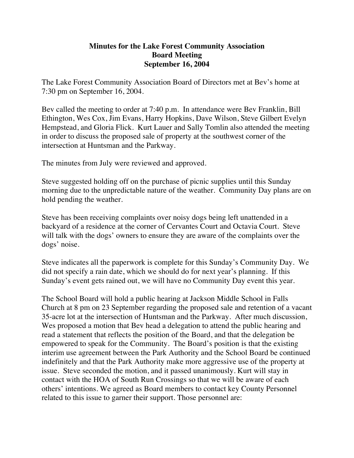## **Minutes for the Lake Forest Community Association Board Meeting September 16, 2004**

The Lake Forest Community Association Board of Directors met at Bev's home at 7:30 pm on September 16, 2004.

Bev called the meeting to order at 7:40 p.m. In attendance were Bev Franklin, Bill Ethington, Wes Cox, Jim Evans, Harry Hopkins, Dave Wilson, Steve Gilbert Evelyn Hempstead, and Gloria Flick. Kurt Lauer and Sally Tomlin also attended the meeting in order to discuss the proposed sale of property at the southwest corner of the intersection at Huntsman and the Parkway.

The minutes from July were reviewed and approved.

Steve suggested holding off on the purchase of picnic supplies until this Sunday morning due to the unpredictable nature of the weather. Community Day plans are on hold pending the weather.

Steve has been receiving complaints over noisy dogs being left unattended in a backyard of a residence at the corner of Cervantes Court and Octavia Court. Steve will talk with the dogs' owners to ensure they are aware of the complaints over the dogs' noise.

Steve indicates all the paperwork is complete for this Sunday's Community Day. We did not specify a rain date, which we should do for next year's planning. If this Sunday's event gets rained out, we will have no Community Day event this year.

The School Board will hold a public hearing at Jackson Middle School in Falls Church at 8 pm on 23 September regarding the proposed sale and retention of a vacant 35-acre lot at the intersection of Huntsman and the Parkway. After much discussion, Wes proposed a motion that Bev head a delegation to attend the public hearing and read a statement that reflects the position of the Board, and that the delegation be empowered to speak for the Community. The Board's position is that the existing interim use agreement between the Park Authority and the School Board be continued indefinitely and that the Park Authority make more aggressive use of the property at issue. Steve seconded the motion, and it passed unanimously. Kurt will stay in contact with the HOA of South Run Crossings so that we will be aware of each others' intentions. We agreed as Board members to contact key County Personnel related to this issue to garner their support. Those personnel are: